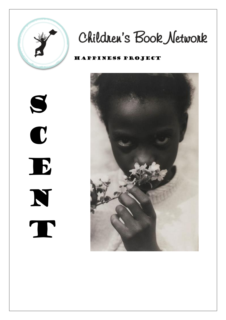

# Children's Book Network

#### Happiness Project



S C E N T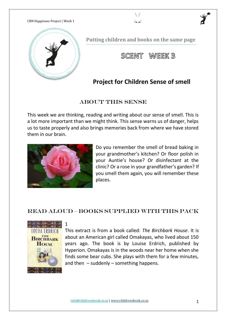

**Putting children and books on the same page**

 $\setminus$ لعما

SCENT WEEK 3

## **Project for Children Sense of smell**

#### ABOUT THIS SENSE

This week we are thinking, reading and writing about our sense of smell. This is a lot more important than we might think. This sense warns us of danger, helps us to taste properly and also brings memories back from where we have stored them in our brain.



1

Do you remember the smell of bread baking in your grandmother's kitchen? Or floor polish in your Auntie's house? Or disinfectant at the clinic? Or a rose in your grandfather's garden? If you smell them again, you will remember these places.

#### READ ALOUD – Books supplied with this pack



This extract is from a book called: *The Birchbark House*. It is about an American girl called Omakayas, who lived about 150 years ago. The book is by Louise Erdrich, published by Hyperion. Omakayas is in the woods near her home when she finds some bear cubs. She plays with them for a few minutes, and then  $-$  suddenly  $-$  something happens.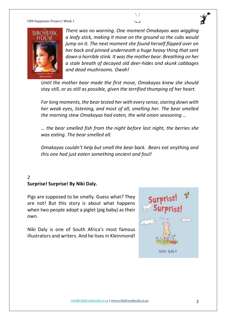



*There was no warning. One moment Omakayas was wiggling a leafy stick, making it move on the ground so the cubs would jump on it. The next moment she found herself flipped over on her back and pinned underneath a huge heavy thing that sent down a horrible stink. It was the mother bear. Breathing on her a stale breath of decayed old deer-hides and skunk cabbages and dead mushrooms. Owah!* 

*Until the mother bear made the first move, Omakayas knew she should stay still, or as still as possible, given the terrified thumping of her heart.*

*For long moments, the bear tested her with every sense, staring down with her weak eyes, listening, and most of all, smelling her. The bear smelled the morning stew Omakayas had eaten, the wild onion seasoning …*

*… the bear smelled fish from the night before last night, the berries she was eating. The bear smelled all.*

*Omakayas couldn't help but smell the bear back. Bears eat anything and this one had just eaten something ancient and foul!* 

#### $\overline{2}$ **Surprise! Surprise! By Niki Daly.**

Pigs are supposed to be smelly. Guess what? They are not! But this story is about what happens when two people adopt a piglet (pig baby) as their own.

Niki Daly is one of South Africa's most famous illustrators and writers. And he lives in Kleinmond!

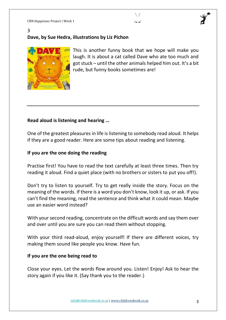#### 3 **Dave, by Sue Hedra, illustrations by Liz Pichon**



This is another funny book that we hope will make you laugh. It is about a cat called Dave who ate too much and got stuck – until the other animals helped him out. It's a bit rude, but funny books sometimes are!

 $\setminus$ لعما

### **Read aloud is listening and hearing …**

One of the greatest pleasures in life is listening to somebody read aloud. It helps if they are a good reader. Here are some tips about reading and listening.

#### **If you are the one doing the reading**

Practise first! You have to read the text carefully at least three times. Then try reading it aloud. Find a quiet place (with no brothers or sisters to put you off!).

Don't try to listen to yourself. Try to get really inside the story. Focus on the meaning of the words. If there is a word you don't know, look it up, or ask. If you can't find the meaning, read the sentence and think what it could mean. Maybe use an easier word instead?

With your second reading, concentrate on the difficult words and say them over and over until you are sure you can read them without stopping.

With your third read-aloud, enjoy yourself! If there are different voices, try making them sound like people you know. Have fun.

#### **If you are the one being read to**

Close your eyes. Let the words flow around you. Listen! Enjoy! Ask to hear the story again if you like it. (Say thank you to the reader.)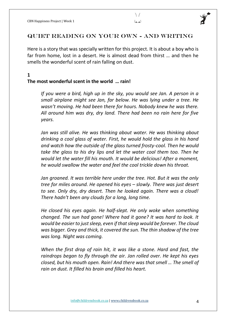

#### QUIET READING ON YOUR OWN - AND WRITING

Here is a story that was specially written for this project. It is about a boy who is far from home, lost in a desert. He is almost dead from thirst … and then he smells the wonderful scent of rain falling on dust.

#### **1 The most wonderful scent in the world … rain!**

*If you were a bird, high up in the sky, you would see Jan. A person in a small airplane might see Jan, far below. He was lying under a tree. He wasn't moving. He had been there for hours. Nobody knew he was there. All around him was dry, dry land. There had been no rain here for five years.*

*Jan was still alive. He was thinking about water. He was thinking about drinking a cool glass of water. First, he would hold the glass in his hand and watch how the outside of the glass turned frosty-cool. Then he would take the glass to his dry lips and let the water cool them too. Then he would let the water fill his mouth. It would be delicious! After a moment, he would swallow the water and feel the cool trickle down his throat.* 

*Jan groaned. It was terrible here under the tree. Hot. But it was the only tree for miles around. He opened his eyes – slowly. There was just desert to see. Only dry, dry desert. Then he looked again. There was a cloud! There hadn't been any clouds for a long, long time.* 

*He closed his eyes again. He half-slept. He only woke when something changed. The sun had gone! Where had it gone? It was hard to look. It would be easier to just sleep, even if that sleep would be forever. The cloud was bigger. Grey and thick, it covered the sun. The thin shadow of the tree was long. Night was coming.* 

*When the first drop of rain hit, it was like a stone. Hard and fast, the raindrops began to fly through the air. Jan rolled over. He kept his eyes closed, but his mouth open. Rain! And there was that smell … The smell of rain on dust. It filled his brain and filled his heart.*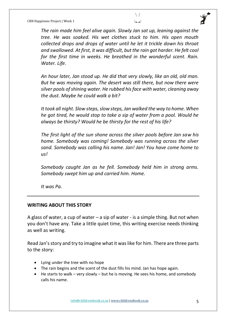



*The rain made him feel alive again. Slowly Jan sat up, leaning against the tree. He was soaked. His wet clothes stuck to him. His open mouth collected drops and drops of water until he let it trickle down his throat and swallowed. At first, it was difficult, but the rain got harder. He felt cool for the first time in weeks. He breathed in the wonderful scent. Rain. Water. Life.*

*An hour later, Jan stood up. He did that very slowly, like an old, old man. But he was moving again. The desert was still there, but now there were silver pools of shining water. He rubbed his face with water, cleaning away the dust. Maybe he could walk a bit?*

*It took all night. Slow steps, slow steps, Jan walked the way to home. When he got tired, he would stop to take a sip of water from a pool. Would he always be thirsty? Would he be thirsty for the rest of his life?*

*The first light of the sun shone across the silver pools before Jan saw his home. Somebody was coming! Somebody was running across the silver sand. Somebody was calling his name. Jan! Jan! You have come home to us!*

*Somebody caught Jan as he fell. Somebody held him in strong arms. Somebody swept him up and carried him. Home.*

*It was Pa.*

#### **WRITING ABOUT THIS STORY**

A glass of water, a cup of water – a sip of water - is a simple thing. But not when you don't have any. Take a little quiet time, this writing exercise needs thinking as well as writing.

Read Jan's story and try to imagine what it was like for him. There are three parts to the story:

- Lying under the tree with no hope
- The rain begins and the scent of the dust fills his mind. Jan has hope again.
- He starts to walk very slowly but he is moving. He sees his home, and somebody calls his name.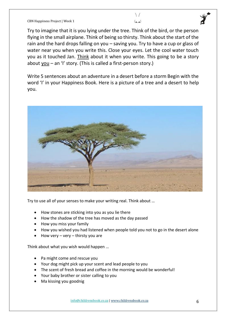Try to imagine that it is you lying under the tree. Think of the bird, or the person flying in the small airplane. Think of being so thirsty. Think about the start of the rain and the hard drops falling on you – saving you. Try to have a cup or glass of water near you when you write this. Close your eyes. Let the cool water touch you as it touched Jan. Think about it when you write. This going to be a story about you  $-$  an 'I' story. (This is called a first-person story.)

 $\setminus$  $(2)$ 

Write 5 sentences about an adventure in a desert before a storm Begin with the word 'I' in your Happiness Book. Here is a picture of a tree and a desert to help you.



Try to use all of your senses to make your writing real. Think about …

- How stones are sticking into you as you lie there
- How the shadow of the tree has moved as the day passed
- How you miss your family
- How you wished you had listened when people told you not to go in the desert alone
- How very  $-$  very  $-$  thirsty you are

Think about what you wish would happen …

- Pa might come and rescue you
- Your dog might pick up your scent and lead people to you
- The scent of fresh bread and coffee in the morning would be wonderful!
- Your baby brother or sister calling to you
- Ma kissing you goodnig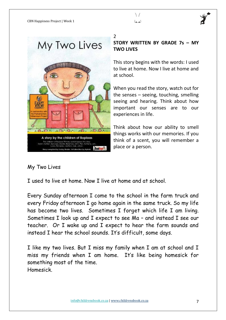





 $\mathfrak{D}$ 

**STORY WRITTEN BY GRADE 7s – MY TWO LIVES**

This story begins with the words: I used to live at home. Now I live at home and at school.

When you read the story, watch out for the senses – seeing, touching, smelling seeing and hearing. Think about how important our senses are to our experiences in life.

Think about how our ability to smell things works with our memories. If you think of a scent, you will remember a place or a person.

## My Two Lives

I used to live at home. Now I live at home and at school.

Every Sunday afternoon I come to the school in the farm truck and every Friday afternoon I go home again in the same truck. So my life has become two lives. Sometimes I forget which life I am living. Sometimes I look up and I expect to see Ma – and instead I see our teacher. Or I wake up and I expect to hear the farm sounds and instead I hear the school sounds. It's difficult, some days.

I like my two lives. But I miss my family when I am at school and I miss my friends when I am home. It's like being homesick for something most of the time. Homesick.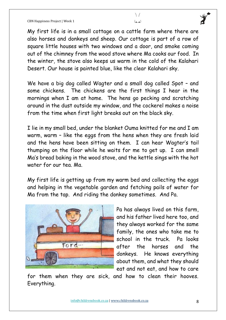My first life is in a small cottage on a cattle farm where there are also horses and donkeys and sheep. Our cottage is part of a row of square little houses with two windows and a door, and smoke coming out of the chimney from the wood stove where Ma cooks our food. In the winter, the stove also keeps us warm in the cold of the Kalahari Desert. Our house is painted blue, like the clear Kalahari sky.

 $\setminus$  $(2)$ 

We have a big dog called Wagter and a small dog called Spot – and some chickens. The chickens are the first things I hear in the mornings when I am at home. The hens go pecking and scratching around in the dust outside my window, and the cockerel makes a noise from the time when first light breaks out on the black sky.

I lie in my small bed, under the blanket Ouma knitted for me and I am warm, warm – like the eggs from the hens when they are fresh laid and the hens have been sitting on them. I can hear Wagter's tail thumping on the floor while he waits for me to get up. I can smell Ma's bread baking in the wood stove, and the kettle sings with the hot water for our tea. Ma.

My first life is getting up from my warm bed and collecting the eggs and helping in the vegetable garden and fetching pails of water for Ma from the tap. And riding the donkey sometimes. And Pa.



Pa has always lived on this farm, and his father lived here too, and they always worked for the same family, the ones who take me to school in the truck. Pa looks after the horses and the donkeys. He knows everything about them, and what they should eat and not eat, and how to care

for them when they are sick, and how to clean their hooves. Everything.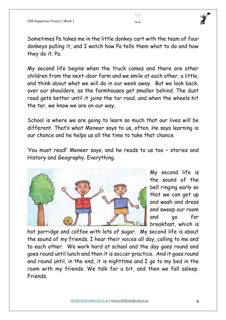Sometimes Pa takes me in the little donkey cart with the team of four donkeys pulling it, and I watch how Pa tells them what to do and how they do it. Pa.

 $\setminus$ لعما

My second life begins when the truck comes and there are other children from the next-door farm and we smile at each other, a little, and think about what we will do in our week away. But we look back, over our shoulders, as the farmhouses get smaller behind. The dust road gets better until it joins the tar road, and when the wheels hit the tar, we know we are on our way.

School is where we are going to learn so much that our lives will be different. That's what Meneer says to us, often. He says learning is our chance and he helps us all the time to take that chance.

'You must read!' Meneer says, and he reads to us too – stories and History and Geography. Everything.



My second life is the sound of the bell ringing early so that we can get up and wash and dress and sweep our room and go for breakfast, which is

hot porridge and coffee with lots of sugar. My second life is about the sound of my friends. I hear their voices all day, calling to me and to each other. We work hard at school and the day goes round and goes round until lunch and then it is soccer practice. And it goes round and round until, in the end, it is nighttime and I go to my bed in the room with my friends. We talk for a bit, and then we fall asleep. Friends.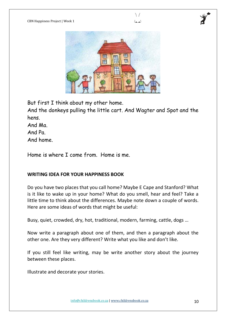

 $\setminus$  $(2)$ 

But first I think about my other home.

And the donkeys pulling the little cart. And Wagter and Spot and the hens.

And Ma.

And Pa.

And home.

Home is where I come from. Home is me.

#### **WRITING IDEA FOR YOUR HAPPINESS BOOK**

Do you have two places that you call home? Maybe E Cape and Stanford? What is it like to wake up in your home? What do you smell, hear and feel? Take a little time to think about the differences. Maybe note down a couple of words. Here are some ideas of words that might be useful:

Busy, quiet, crowded, dry, hot, traditional, modern, farming, cattle, dogs …

Now write a paragraph about one of them, and then a paragraph about the other one. Are they very different? Write what you like and don't like.

If you still feel like writing, may be write another story about the journey between these places.

Illustrate and decorate your stories.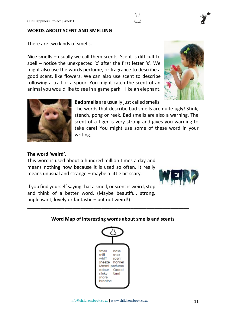#### **WORDS ABOUT SCENT AND SMELLING**

There are two kinds of smells.

**Nice smells** – usually we call them scents. Scent is difficult to spell – notice the unexpected 'c' after the first letter 's'. We might also use the words perfume, or fragrance to describe a good scent, like flowers. We can also use scent to describe following a trail or a spoor. You might catch the scent of an animal you would like to see in a game park – like an elephant.





**Bad smells** are usually just called smells.

The words that describe bad smells are quite ugly! Stink, stench, pong or reek. Bad smells are also a warning. The scent of a tiger is very strong and gives you warning to take care! You might use some of these word in your writing.

 $\setminus$ لعما

#### **The word 'weird'.**

This word is used about a hundred million times a day and means nothing now because it is used so often. It really means unusual and strange – maybe a little bit scary.



If you find yourself saying that a smell, or scent is weird, stop and think of a better word. (Maybe beautiful, strong, unpleasant, lovely or fantastic – but not weird!)

#### **Word Map of interesting words about smells and scents**

\_\_\_\_\_\_\_\_\_\_\_\_\_\_\_\_\_\_\_\_\_\_\_\_\_\_\_\_\_\_\_\_\_\_\_\_\_\_\_\_\_\_\_\_\_\_\_\_\_\_\_\_\_\_\_\_\_\_\_\_\_

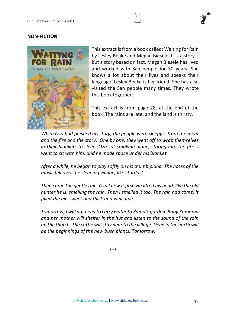

#### **NON-FICTION**



This extract is from a book called: Waiting for Rain by Lesley Beake and Megan Biesele. It is a story – but a story based on fact. Megan Biesele has lived and worked with San people for 50 years. She knows a lot about their lives and speaks their language. Lesley Beake is her friend. She has also visited the San people many times. They wrote this book together.

This extract is from page 28, at the end of the book. The rains are late, and the land is thirsty.

*When Oza had finished his story, the people were sleepy – from the meat and the fire and the story. One by one, they went off to wrap themselves in their blankets to sleep. Oza sat smoking alone, staring into the fire. I went to sit with him, and he made space under his blanket.*

*After a while, he began to play softly on his thumb piano. The notes of the music fell over the sleeping village, like stardust.*

*Then came the gentle rain. Oza knew it first. He lifted his head, like the old hunter he is, smelling the rain. Then I smelled it too. The rain had come. It filled the air, sweet and thick and welcome.*

*Tomorrow, I will not need to carry water to Xama's garden. Baby Xamama and her mother will shelter in the hut and listen to the sound of the rain on the thatch. The cattle will stay near to the village. Deep in the earth will be the beginnings of the new bush plants. Tomorrow.*

**\*\*\***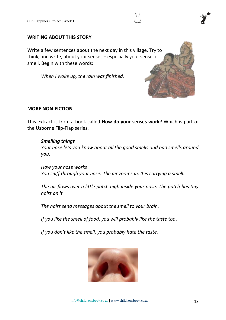#### **WRITING ABOUT THIS STORY**

Write a few sentences about the next day in this village. Try to think, and write, about your senses – especially your sense of smell. Begin with these words:

*When I woke up, the rain was finished.* 

#### **MORE NON-FICTION**

This extract is from a book called **How do your senses work**? Which is part of the Usborne Flip-Flap series.

#### *Smelling things*

*Your nose lets you know about all the good smells and bad smells around you.*

*How your nose works You sniff through your nose. The air zooms in. It is carrying a smell.*

*The air flows over a little patch high inside your nose. The patch has tiny hairs on it.*

*The hairs send messages about the smell to your brain.*

*If you like the smell of food, you will probably like the taste too.*

*If you don't like the smell, you probably hate the taste.*



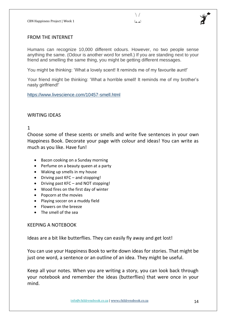

#### FROM THE INTERNET

Humans can recognize 10,000 different odours. However, no two people sense anything the same. (Odour is another word for smell.) If you are standing next to your friend and smelling the same thing, you might be getting different messages.

You might be thinking: 'What a lovely scent! It reminds me of my favourite aunt!'

Your friend might be thinking: 'What a horrible smell! It reminds me of my brother's nasty girlfriend!'

<https://www.livescience.com/10457-smell.html>

#### WRITING IDEAS

1

Choose some of these scents or smells and write five sentences in your own Happiness Book. Decorate your page with colour and ideas! You can write as much as you like. Have fun!

- Bacon cooking on a Sunday morning
- Perfume on a beauty queen at a party
- Waking up smells in my house
- Driving past KFC and stopping!
- Driving past KFC and NOT stopping!
- Wood fires on the first day of winter
- Popcorn at the movies
- Playing soccer on a muddy field
- Flowers on the breeze
- The smell of the sea

#### KEEPING A NOTEBOOK

Ideas are a bit like butterflies. They can easily fly away and get lost!

You can use your Happiness Book to write down ideas for stories. That might be just one word, a sentence or an outline of an idea. They might be useful.

Keep all your notes. When you are writing a story, you can look back through your notebook and remember the ideas (butterflies) that were once in your mind.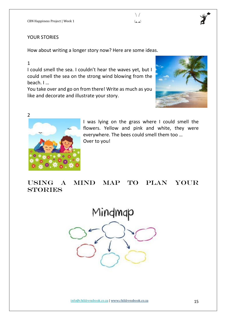#### YOUR STORIES

How about writing a longer story now? Here are some ideas.

#### 1

I could smell the sea. I couldn't hear the waves yet, but I could smell the sea on the strong wind blowing from the beach. I …

You take over and go on from there! Write as much as you like and decorate and illustrate your story.





I was lying on the grass where I could smell the flowers. Yellow and pink and white, they were everywhere. The bees could smell them too … Over to you!

 $\setminus$ لعما

## Using a mind map to plan your **STORIES**

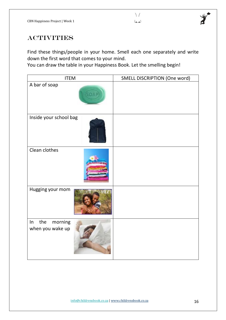

## **ACTIVITIES**

Find these things/people in your home. Smell each one separately and write down the first word that comes to your mind.

You can draw the table in your Happiness Book. Let the smelling begin!

| <b>ITEM</b>                              | SMELL DISCRIPTION (One word) |  |  |  |  |
|------------------------------------------|------------------------------|--|--|--|--|
| A bar of soap                            |                              |  |  |  |  |
| Inside your school bag                   |                              |  |  |  |  |
| Clean clothes                            |                              |  |  |  |  |
| Hugging your mom                         |                              |  |  |  |  |
| the<br>morning<br>In<br>when you wake up |                              |  |  |  |  |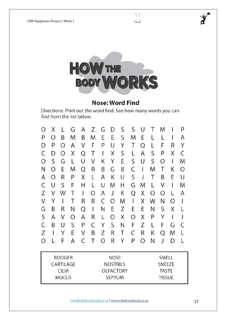

## **Nose: Word Find**

Directions: Print out the word find. See how many words you can find from the list below.

| Ω                           | Χ |   | G | А | Z | G                              | D | S | S | U | Τ                             | M |   | P |
|-----------------------------|---|---|---|---|---|--------------------------------|---|---|---|---|-------------------------------|---|---|---|
| Ρ                           | Ω | Β | M | Β | M | E                              | E | S | M | E |                               |   |   | A |
| D                           | P | ∩ | А | V | F | P                              | U | Y | Τ | Q |                               | F | R | Υ |
| C                           | D | ∩ | Χ | Q | Τ |                                | Χ | S |   | А | S                             | Ρ | Χ | C |
| O                           | S | G | L | U | V | Κ                              | Υ | E | S | U | S                             | Ω | I | M |
| Ν                           | Ω | E | M | Q | R | Β                              | G | Β | C |   | M                             | T | Κ | Ω |
| Α                           | ∩ | R | P | Χ |   | А                              | Κ | U | S | J | Т                             | Β | E | U |
| C                           | U | S | F | Η |   | U                              | M | Η | G | M |                               | V | I | M |
| Ζ                           | V | W | T |   | O | Α                              | J | Κ | Q | Χ | Ω                             | Ω | L | Α |
| V                           | Y |   | Τ | R | R | C                              | Ω | M |   | Χ | W                             | Ν | Ω |   |
| G                           | Β | R | Ν | Q | I | Ν                              | E | Z | E | E | Ν                             | S | Χ |   |
| S                           | А | V | Ω | А | R |                                | O | Χ | Ω | Χ | P                             | Y |   |   |
| C                           | Β | U | S | P | C | Y                              | S | Ν | F | Z |                               | F | G | C |
| Ζ                           |   |   | E | V | Β | Z                              | R | Τ | C | R | Κ                             | Q | M |   |
| O                           |   | F | А | C | T | O                              | R | Υ | Ρ | Ω | Ν                             | J | D | L |
| <b>BOOGER</b><br>CARTII AGF |   |   |   |   |   | <b>NOSE</b><br><b>NOSTRILS</b> |   |   |   |   | <b>SMELL</b><br><b>SNFF7F</b> |   |   |   |

| <b>BOOGER</b> | <b>NOSE</b>      | <b>SMELL</b>  |
|---------------|------------------|---------------|
| CARTILAGE     | <b>NOSTRILS</b>  | <b>SNEEZE</b> |
| CILIA         | <b>OLFACTORY</b> | <b>TASTE</b>  |
| <b>MUCUS</b>  | <b>SEPTUM</b>    | <b>TISSUE</b> |
|               |                  |               |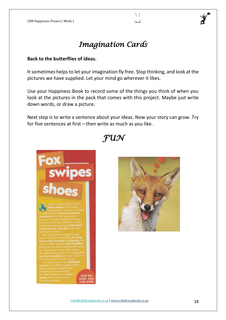#### $\setminus$ لعما



## *Imagination Cards*

#### **Back to the butterflies of ideas.**

It sometimes helps to let your imagination fly free. Stop thinking, and look at the pictures we have supplied. Let your mind go wherever it likes.

Use your Happiness Book to record some of the things you think of when you look at the pictures in the pack that comes with this project. Maybe just write down words, or draw a picture.

Next step is to write a sentence about your ideas. Now your story can grow. Try for five sentences at first – then write as much as you like.

## *FUN*



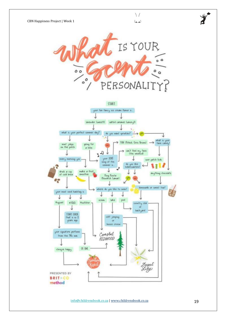

PRESENTED BY **BRIT+CO** method

OK ONE

clinique happy

REDWOOD

lesert<br>ily